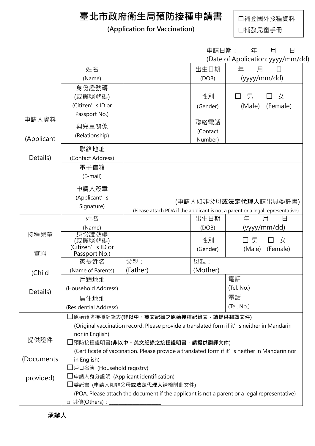## 臺北市政府衛生局預防接種申請書

## (Application for Vaccination)

□補登國外接種資料

□補發兒童手冊

|                  |                                                                                                                |                                | 申請日期:    | 年<br>月<br>日                                                                    |
|------------------|----------------------------------------------------------------------------------------------------------------|--------------------------------|----------|--------------------------------------------------------------------------------|
|                  |                                                                                                                |                                |          | (Date of Application: yyyy/mm/dd)                                              |
|                  | 姓名                                                                                                             |                                | 出生日期     | 年<br>月<br>日                                                                    |
|                  | (Name)                                                                                                         |                                | (DOB)    | (yyyy/mm/dd)                                                                   |
|                  | 身份證號碼                                                                                                          |                                |          |                                                                                |
|                  | (或護照號碼)                                                                                                        |                                | 性別       | 男<br>女                                                                         |
|                  | (Citizen's ID or                                                                                               |                                | (Gender) | (Male)<br>(Female)                                                             |
| 申請人資料            | Passport No.)                                                                                                  |                                |          |                                                                                |
|                  | 與兒童關係                                                                                                          |                                | 聯絡電話     |                                                                                |
|                  | (Relationship)                                                                                                 |                                | (Contact |                                                                                |
| (Applicant       |                                                                                                                |                                | Number)  |                                                                                |
|                  | 聯絡地址                                                                                                           |                                |          |                                                                                |
| Details)         | (Contact Address)                                                                                              |                                |          |                                                                                |
|                  | 電子信箱                                                                                                           |                                |          |                                                                                |
|                  | (E-mail)                                                                                                       |                                |          |                                                                                |
|                  | 申請人簽章                                                                                                          |                                |          |                                                                                |
|                  | (Applicant's                                                                                                   |                                |          |                                                                                |
|                  | Signature)                                                                                                     | (申請人如非父母 <b>或法定代理人</b> 請出具委託書) |          |                                                                                |
|                  |                                                                                                                |                                |          | (Please attach POA if the applicant is not a parent or a legal representative) |
|                  | 姓名                                                                                                             |                                | 出生日期     | 年<br>月<br>日                                                                    |
| 接種兒童             | (Name)<br>身份證號碼                                                                                                |                                | (DOB)    | (yyyy/mm/dd)                                                                   |
|                  | (或護照號碼)                                                                                                        |                                | 性別       | 男<br>女<br>$\Box$                                                               |
| 資料               | (Citizen's ID or                                                                                               |                                | (Gender) | (Male)<br>(Female)                                                             |
|                  | Passport No.)<br>家長姓名                                                                                          | 父親:                            | 母親:      |                                                                                |
| (Child           | (Name of Parents)                                                                                              | (Father)                       | (Mother) |                                                                                |
|                  | 戶籍地址                                                                                                           |                                |          | 電話                                                                             |
| Details)<br>提供證件 | (Household Address)                                                                                            |                                |          | (Tel. No.)                                                                     |
|                  |                                                                                                                |                                |          | 電話                                                                             |
|                  | 居住地址<br>(Residential Address)                                                                                  |                                |          | (Tel. No.)                                                                     |
|                  |                                                                                                                |                                |          |                                                                                |
|                  | コ原始預防接種紀錄表(非以中、英文紀錄之原始接種紀錄表,請提供翻譯文件)                                                                           |                                |          |                                                                                |
|                  | (Original vaccination record. Please provide a translated form if it' s neither in Mandarin<br>nor in English) |                                |          |                                                                                |
|                  | 預防接種證明書(非以中、英文紀錄之接種證明書,請提供翻譯文件)                                                                                |                                |          |                                                                                |
|                  | (Certificate of vaccination. Please provide a translated form if it' s neither in Mandarin nor                 |                                |          |                                                                                |
| (Documents       | in English)                                                                                                    |                                |          |                                                                                |
|                  | □戶口名簿 (Household registry)                                                                                     |                                |          |                                                                                |
| provided)        | □申請人身分證明 (Applicant identification)                                                                            |                                |          |                                                                                |
|                  | □委託書 (申請人如非父母 <b>或法定代理人</b> 請檢附此文件)                                                                            |                                |          |                                                                                |
|                  | (POA. Please attach the document if the applicant is not a parent or a legal representative)                   |                                |          |                                                                                |
|                  | □ 其他(Others):                                                                                                  |                                |          |                                                                                |